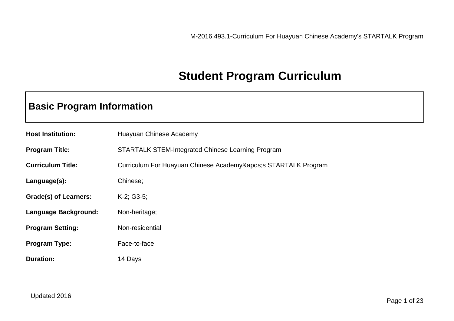## **Student Program Curriculum**

## **Basic Program Information**

| <b>Host Institution:</b>     | Huayuan Chinese Academy                                  |  |
|------------------------------|----------------------------------------------------------|--|
| <b>Program Title:</b>        | <b>STARTALK STEM-Integrated Chinese Learning Program</b> |  |
| <b>Curriculum Title:</b>     | Curriculum For Huayuan Chinese Academy' STARTALK Program |  |
| Language(s):                 | Chinese;                                                 |  |
| <b>Grade(s) of Learners:</b> | $K-2$ ; G3-5;                                            |  |
| Language Background:         | Non-heritage;                                            |  |
| <b>Program Setting:</b>      | Non-residential                                          |  |
| <b>Program Type:</b>         | Face-to-face                                             |  |
| <b>Duration:</b>             | 14 Days                                                  |  |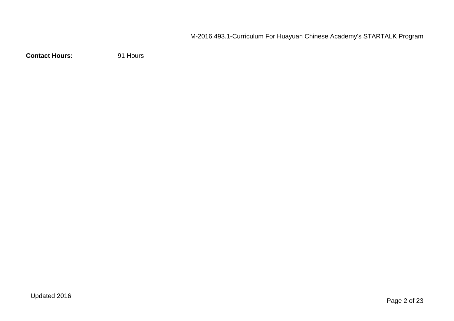**Contact Hours:** 91 Hours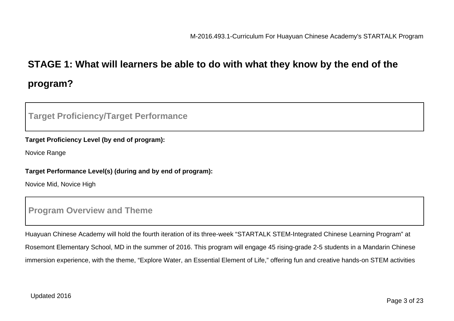## **STAGE 1: What will learners be able to do with what they know by the end of the program?**

#### **Target Proficiency/Target Performance**

#### **Target Proficiency Level (by end of program):**

Novice Range

#### **Target Performance Level(s) (during and by end of program):**

Novice Mid, Novice High

#### **Program Overview and Theme**

Huayuan Chinese Academy will hold the fourth iteration of its three-week "STARTALK STEM-Integrated Chinese Learning Program" at Rosemont Elementary School, MD in the summer of 2016. This program will engage 45 rising-grade 2-5 students in a Mandarin Chinese immersion experience, with the theme, "Explore Water, an Essential Element of Life," offering fun and creative hands-on STEM activities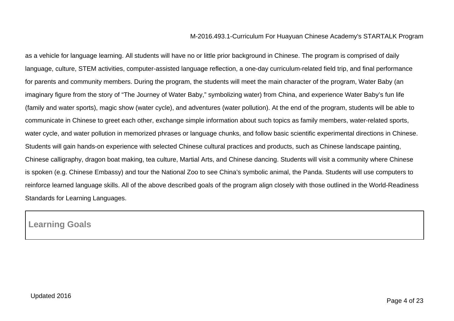as a vehicle for language learning. All students will have no or little prior background in Chinese. The program is comprised of daily language, culture, STEM activities, computer-assisted language reflection, a one-day curriculum-related field trip, and final performance for parents and community members. During the program, the students will meet the main character of the program, Water Baby (an imaginary figure from the story of "The Journey of Water Baby," symbolizing water) from China, and experience Water Baby's fun life (family and water sports), magic show (water cycle), and adventures (water pollution). At the end of the program, students will be able to communicate in Chinese to greet each other, exchange simple information about such topics as family members, water-related sports, water cycle, and water pollution in memorized phrases or language chunks, and follow basic scientific experimental directions in Chinese. Students will gain hands-on experience with selected Chinese cultural practices and products, such as Chinese landscape painting, Chinese calligraphy, dragon boat making, tea culture, Martial Arts, and Chinese dancing. Students will visit a community where Chinese is spoken (e.g. Chinese Embassy) and tour the National Zoo to see China's symbolic animal, the Panda. Students will use computers to reinforce learned language skills. All of the above described goals of the program align closely with those outlined in the World-Readiness Standards for Learning Languages.

#### **Learning Goals**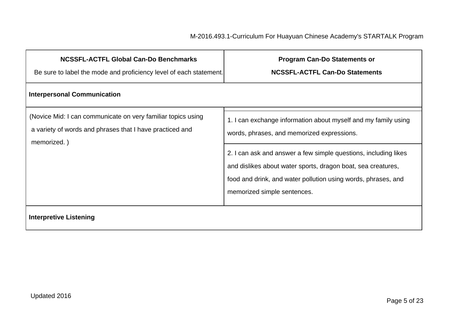| <b>NCSSFL-ACTFL Global Can-Do Benchmarks</b><br>Be sure to label the mode and proficiency level of each statement.                      | <b>Program Can-Do Statements or</b><br><b>NCSSFL-ACTFL Can-Do Statements</b>                                                                                                                                                    |  |  |
|-----------------------------------------------------------------------------------------------------------------------------------------|---------------------------------------------------------------------------------------------------------------------------------------------------------------------------------------------------------------------------------|--|--|
| <b>Interpersonal Communication</b>                                                                                                      |                                                                                                                                                                                                                                 |  |  |
| (Novice Mid: I can communicate on very familiar topics using<br>a variety of words and phrases that I have practiced and<br>memorized.) | 1. I can exchange information about myself and my family using<br>words, phrases, and memorized expressions.                                                                                                                    |  |  |
|                                                                                                                                         | 2. I can ask and answer a few simple questions, including likes<br>and dislikes about water sports, dragon boat, sea creatures,<br>food and drink, and water pollution using words, phrases, and<br>memorized simple sentences. |  |  |
| <b>Interpretive Listening</b>                                                                                                           |                                                                                                                                                                                                                                 |  |  |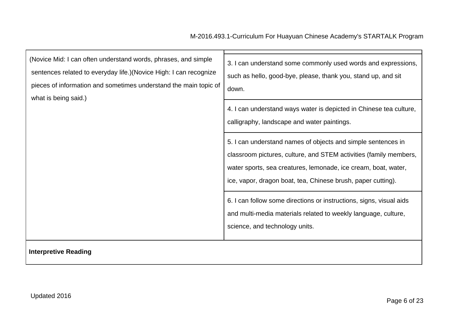| (Novice Mid: I can often understand words, phrases, and simple<br>sentences related to everyday life.) (Novice High: I can recognize<br>pieces of information and sometimes understand the main topic of<br>what is being said.) | 3. I can understand some commonly used words and expressions,<br>such as hello, good-bye, please, thank you, stand up, and sit<br>down.                                                                                                                             |
|----------------------------------------------------------------------------------------------------------------------------------------------------------------------------------------------------------------------------------|---------------------------------------------------------------------------------------------------------------------------------------------------------------------------------------------------------------------------------------------------------------------|
|                                                                                                                                                                                                                                  | 4. I can understand ways water is depicted in Chinese tea culture,<br>calligraphy, landscape and water paintings.                                                                                                                                                   |
|                                                                                                                                                                                                                                  | 5. I can understand names of objects and simple sentences in<br>classroom pictures, culture, and STEM activities (family members,<br>water sports, sea creatures, lemonade, ice cream, boat, water,<br>ice, vapor, dragon boat, tea, Chinese brush, paper cutting). |
|                                                                                                                                                                                                                                  | 6. I can follow some directions or instructions, signs, visual aids<br>and multi-media materials related to weekly language, culture,<br>science, and technology units.                                                                                             |
| <b>Interpretive Reading</b>                                                                                                                                                                                                      |                                                                                                                                                                                                                                                                     |

┑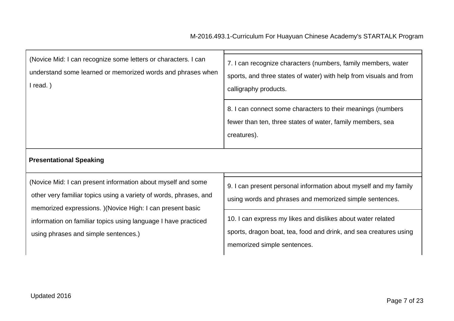| (Novice Mid: I can recognize some letters or characters. I can<br>understand some learned or memorized words and phrases when<br>read.) | 7. I can recognize characters (numbers, family members, water<br>sports, and three states of water) with help from visuals and from<br>calligraphy products. |
|-----------------------------------------------------------------------------------------------------------------------------------------|--------------------------------------------------------------------------------------------------------------------------------------------------------------|
|                                                                                                                                         | 8. I can connect some characters to their meanings (numbers<br>fewer than ten, three states of water, family members, sea<br>creatures).                     |

#### **Presentational Speaking**

(Novice Mid: I can present information about myself and some other very familiar topics using a variety of words, phrases, and memorized expressions. )(Novice High: I can present basic information on familiar topics using language I have practiced using phrases and simple sentences.)

9. I can present personal information about myself and my family using words and phrases and memorized simple sentences.

10. I can express my likes and dislikes about water related sports, dragon boat, tea, food and drink, and sea creatures using memorized simple sentences.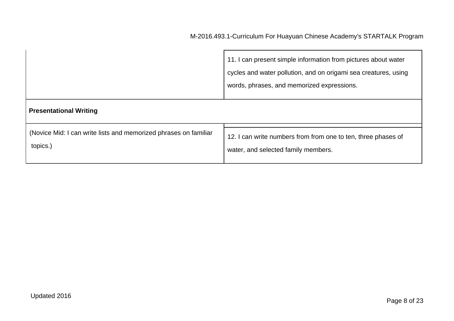| <b>Presentational Writing</b>                                    | 11. I can present simple information from pictures about water<br>cycles and water pollution, and on origami sea creatures, using<br>words, phrases, and memorized expressions. |
|------------------------------------------------------------------|---------------------------------------------------------------------------------------------------------------------------------------------------------------------------------|
| (Novice Mid: I can write lists and memorized phrases on familiar | 12. I can write numbers from from one to ten, three phases of                                                                                                                   |
| topics.)                                                         | water, and selected family members.                                                                                                                                             |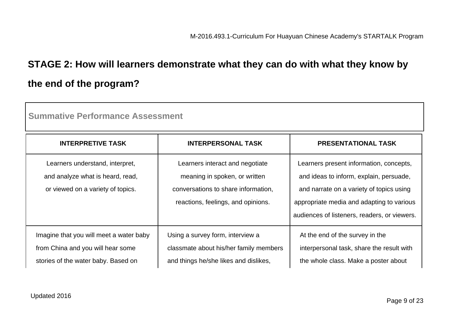# **STAGE 2: How will learners demonstrate what they can do with what they know by the end of the program?**

| <b>Summative Performance Assessment</b>                                                                             |                                                                                                                                               |                                                                                                                                                                                                                             |  |
|---------------------------------------------------------------------------------------------------------------------|-----------------------------------------------------------------------------------------------------------------------------------------------|-----------------------------------------------------------------------------------------------------------------------------------------------------------------------------------------------------------------------------|--|
| <b>INTERPRETIVE TASK</b>                                                                                            | <b>INTERPERSONAL TASK</b>                                                                                                                     | <b>PRESENTATIONAL TASK</b>                                                                                                                                                                                                  |  |
| Learners understand, interpret,<br>and analyze what is heard, read,<br>or viewed on a variety of topics.            | Learners interact and negotiate<br>meaning in spoken, or written<br>conversations to share information,<br>reactions, feelings, and opinions. | Learners present information, concepts,<br>and ideas to inform, explain, persuade,<br>and narrate on a variety of topics using<br>appropriate media and adapting to various<br>audiences of listeners, readers, or viewers. |  |
| Imagine that you will meet a water baby<br>from China and you will hear some<br>stories of the water baby. Based on | Using a survey form, interview a<br>classmate about his/her family members<br>and things he/she likes and dislikes,                           | At the end of the survey in the<br>interpersonal task, share the result with<br>the whole class. Make a poster about                                                                                                        |  |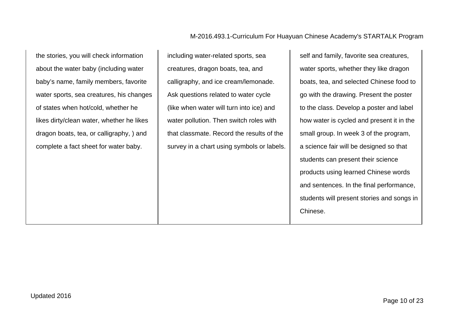the stories, you will check information about the water baby (including water baby's name, family members, favorite water sports, sea creatures, his changes of states when hot/cold, whether he likes dirty/clean water, whether he likes dragon boats, tea, or calligraphy, ) and complete a fact sheet for water baby.

including water-related sports, sea creatures, dragon boats, tea, and calligraphy, and ice cream/lemonade. Ask questions related to water cycle (like when water will turn into ice) and water pollution. Then switch roles with that classmate. Record the results of the survey in a chart using symbols or labels. self and family, favorite sea creatures, water sports, whether they like dragon boats, tea, and selected Chinese food to go with the drawing. Present the poster to the class. Develop a poster and label how water is cycled and present it in the small group. In week 3 of the program, a science fair will be designed so that students can present their science products using learned Chinese words and sentences. In the final performance, students will present stories and songs in Chinese.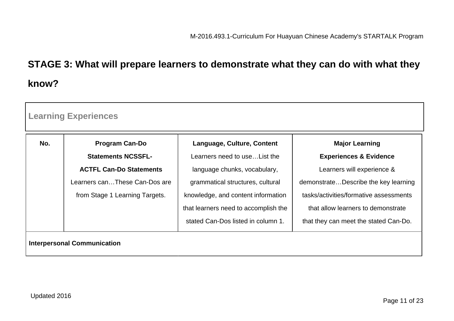# **STAGE 3: What will prepare learners to demonstrate what they can do with what they know?**

| <b>Learning Experiences</b>        |                                |                                      |                                        |  |
|------------------------------------|--------------------------------|--------------------------------------|----------------------------------------|--|
| No.                                | <b>Program Can-Do</b>          | Language, Culture, Content           | <b>Major Learning</b>                  |  |
|                                    | <b>Statements NCSSFL-</b>      | Learners need to use List the        | <b>Experiences &amp; Evidence</b>      |  |
|                                    | <b>ACTFL Can-Do Statements</b> | language chunks, vocabulary,         | Learners will experience &             |  |
|                                    | Learners canThese Can-Dos are  | grammatical structures, cultural     | demonstrateDescribe the key learning   |  |
|                                    | from Stage 1 Learning Targets. | knowledge, and content information   | tasks/activities/formative assessments |  |
|                                    |                                | that learners need to accomplish the | that allow learners to demonstrate     |  |
|                                    |                                | stated Can-Dos listed in column 1.   | that they can meet the stated Can-Do.  |  |
| <b>Interpersonal Communication</b> |                                |                                      |                                        |  |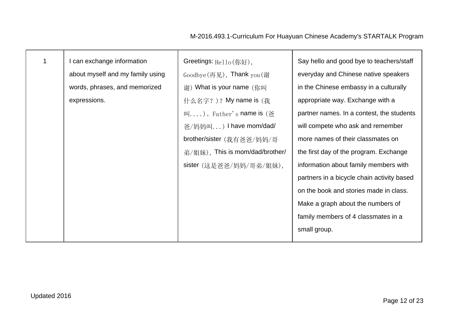| $\mathbf 1$ | I can exchange information       | Greetings: Hello(你好),                                             | Say hello and good bye to teachers/staff   |
|-------------|----------------------------------|-------------------------------------------------------------------|--------------------------------------------|
|             | about myself and my family using | Goodbye $(\overline{F} \mathcal{R})$ , Thank you $(\overline{F})$ | everyday and Chinese native speakers       |
|             | words, phrases, and memorized    | 谢) What is your name (你叫                                          | in the Chinese embassy in a culturally     |
|             | expressions.                     | 什么名字?)? My name is (我                                             | appropriate way. Exchange with a           |
|             |                                  | 叫)。Father's name is (爸                                            | partner names. In a contest, the students  |
|             |                                  | 爸/妈妈叫) I have mom/dad/                                            | will compete who ask and remember          |
|             |                                  | brother/sister (我有爸爸/妈妈/哥                                         | more names of their classmates on          |
|             |                                  | 弟/姐妹), This is mom/dad/brother/                                   | the first day of the program. Exchange     |
|             |                                  | sister (这是爸爸/妈妈/哥弟/姐妹),                                           | information about family members with      |
|             |                                  |                                                                   | partners in a bicycle chain activity based |
|             |                                  |                                                                   | on the book and stories made in class.     |
|             |                                  |                                                                   | Make a graph about the numbers of          |
|             |                                  |                                                                   | family members of 4 classmates in a        |
|             |                                  |                                                                   | small group.                               |
|             |                                  |                                                                   |                                            |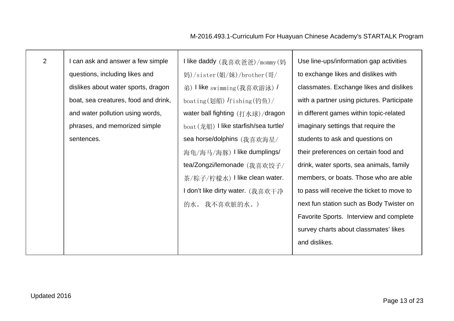| 2 | can ask and answer a few simple      | I like daddy (我喜欢爸爸)/mommy(妈          | Use line-ups/information gap activities    |
|---|--------------------------------------|---------------------------------------|--------------------------------------------|
|   | questions, including likes and       | 妈)/sister(姐/妹)/brother(哥/             | to exchange likes and dislikes with        |
|   | dislikes about water sports, dragon  | 弟) like swimming (我喜欢游泳) /            | classmates. Exchange likes and dislikes    |
|   | boat, sea creatures, food and drink, | boating(划船) fishing(钓鱼)/              | with a partner using pictures. Participate |
|   | and water pollution using words,     | water ball fighting (打水球)/dragon      | in different games within topic-related    |
|   | phrases, and memorized simple        | boat (龙船) I like starfish/sea turtle/ | imaginary settings that require the        |
|   | sentences.                           | sea horse/dolphins (我喜欢海星/            | students to ask and questions on           |
|   |                                      | 海龟/海马/海豚) I like dumplings/           | their preferences on certain food and      |
|   |                                      | tea/Zongzi/lemonade (我喜欢饺子/           | drink, water sports, sea animals, family   |
|   |                                      | 茶/粽子/柠檬水) I like clean water.         | members, or boats. Those who are able      |
|   |                                      | I don't like dirty water. (我喜欢干净      | to pass will receive the ticket to move to |
|   |                                      | 的水。我不喜欢脏的水。)                          | next fun station such as Body Twister on   |
|   |                                      |                                       | Favorite Sports. Interview and complete    |
|   |                                      |                                       | survey charts about classmates' likes      |
|   |                                      |                                       | and dislikes.                              |
|   |                                      |                                       |                                            |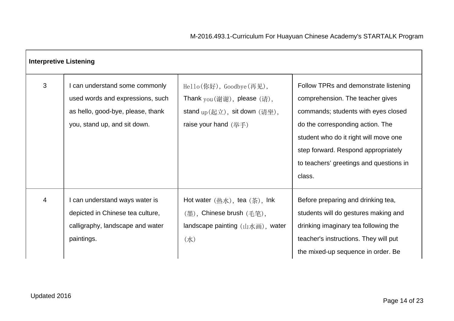|   | <b>Interpretive Listening</b>                                                                                                         |                                                                                                                                                                                                     |                                                                                                                                                                                                                                                                                           |
|---|---------------------------------------------------------------------------------------------------------------------------------------|-----------------------------------------------------------------------------------------------------------------------------------------------------------------------------------------------------|-------------------------------------------------------------------------------------------------------------------------------------------------------------------------------------------------------------------------------------------------------------------------------------------|
| 3 | can understand some commonly<br>used words and expressions, such<br>as hello, good-bye, please, thank<br>you, stand up, and sit down. | Hello(你好), Goodbye(再见),<br>Thank $\text{you}(\textit{៉े\textit{ij}\textit{ij}), please (\textit{ij}),$<br>stand $_{\rm up}(\underline{\pi}\hat{\pm})$ , sit down (请坐),<br>raise your hand $(\# \#)$ | Follow TPRs and demonstrate listening<br>comprehension. The teacher gives<br>commands; students with eyes closed<br>do the corresponding action. The<br>student who do it right will move one<br>step forward. Respond appropriately<br>to teachers' greetings and questions in<br>class. |
| 4 | can understand ways water is<br>depicted in Chinese tea culture,<br>calligraphy, landscape and water<br>paintings.                    | Hot water $(\tfrac{1}{20} \tfrac{1}{10})$ , tea $(\tfrac{1}{20})$ , lnk<br>(墨), Chinese brush (毛笔),<br>landscape painting $(\mathbf{u} \times \mathbf{w})$ , water<br>$(\nexists k)$                | Before preparing and drinking tea,<br>students will do gestures making and<br>drinking imaginary tea following the<br>teacher's instructions. They will put<br>the mixed-up sequence in order. Be                                                                                         |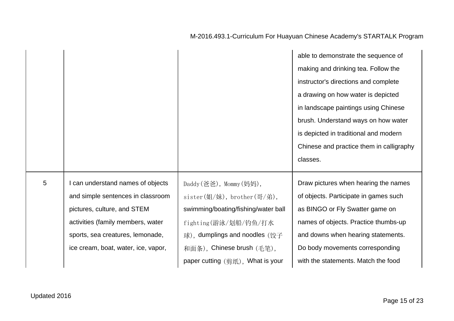|   |                                     |                                                    | able to demonstrate the sequence of      |
|---|-------------------------------------|----------------------------------------------------|------------------------------------------|
|   |                                     |                                                    | making and drinking tea. Follow the      |
|   |                                     |                                                    | instructor's directions and complete     |
|   |                                     |                                                    | a drawing on how water is depicted       |
|   |                                     |                                                    | in landscape paintings using Chinese     |
|   |                                     |                                                    | brush. Understand ways on how water      |
|   |                                     |                                                    | is depicted in traditional and modern    |
|   |                                     |                                                    | Chinese and practice them in calligraphy |
|   |                                     |                                                    |                                          |
|   |                                     |                                                    | classes.                                 |
| 5 | can understand names of objects     | Daddy (爸爸), Mommy (妈妈),                            | Draw pictures when hearing the names     |
|   | and simple sentences in classroom   | sister $(\frac{M}{K})$ , brother $(\frac{m}{K})$ , | of objects. Participate in games such    |
|   | pictures, culture, and STEM         | swimming/boating/fishing/water ball                | as BINGO or Fly Swatter game on          |
|   | activities (family members, water   | fighting(游泳/划船/钓鱼/打水                               | names of objects. Practice thumbs-up     |
|   | sports, sea creatures, lemonade,    | 球), dumplings and noodles (饺子                      | and downs when hearing statements.       |
|   | ice cream, boat, water, ice, vapor, | 和面条), Chinese brush (毛笔),                          | Do body movements corresponding          |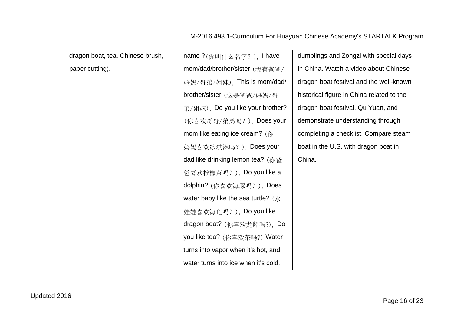dragon boat, tea, Chinese brush, paper cutting).

name ?(你叫什么名字?), I have mom/dad/brother/sister (我有爸爸/ 妈妈/哥弟/姐妹), This is mom/dad/ brother/sister (这是爸爸/妈妈/哥 弟/姐妹), Do you like your brother? (你喜欢哥哥/弟弟吗?), Does your mom like eating ice cream? (你 妈妈喜欢冰淇淋吗?), Does your dad like drinking lemon tea? (你爸 爸喜欢柠檬茶吗?), Do you like a dolphin? (你喜欢海豚吗?), Does water baby like the sea turtle?  $(X<sub>k</sub>)$ 娃娃喜欢海龟吗?), Do you like dragon boat? (你喜欢龙船吗?), Do you like tea? (你喜欢茶吗?) Water turns into vapor when it's hot, and water turns into ice when it's cold.

dumplings and Zongzi with special days in China. Watch a video about Chinese dragon boat festival and the well-known historical figure in China related to the dragon boat festival, Qu Yuan, and demonstrate understanding through completing a checklist. Compare steam boat in the U.S. with dragon boat in China.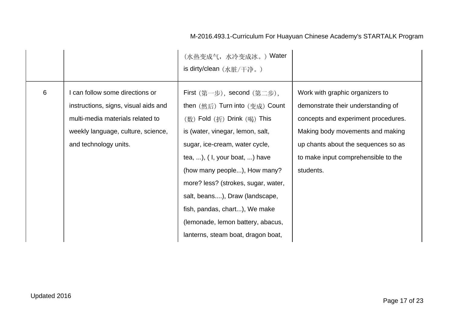|   |                                                                                                                                                                          | (水热变成气, 水冷变成冰。) Water<br>is dirty/clean (水脏/干净。)                                                                                                                                                                                                                                                                                                                                                                                                                                    |                                                                                                                                                                                                                                             |
|---|--------------------------------------------------------------------------------------------------------------------------------------------------------------------------|-------------------------------------------------------------------------------------------------------------------------------------------------------------------------------------------------------------------------------------------------------------------------------------------------------------------------------------------------------------------------------------------------------------------------------------------------------------------------------------|---------------------------------------------------------------------------------------------------------------------------------------------------------------------------------------------------------------------------------------------|
| 6 | can follow some directions or<br>instructions, signs, visual aids and<br>multi-media materials related to<br>weekly language, culture, science,<br>and technology units. | First $(\nexists \pm \pm)$ , second $(\nexists \pm \pm)$ ,<br>then $(\n&\text{, f})$ Turn into $(\n&\text{, f})$ Count<br>(数) Fold (折) Drink (喝) This<br>is (water, vinegar, lemon, salt,<br>sugar, ice-cream, water cycle,<br>tea, ), $(1,$ your boat, ) have<br>(how many people), How many?<br>more? less? (strokes, sugar, water,<br>salt, beans), Draw (landscape,<br>fish, pandas, chart), We make<br>(lemonade, lemon battery, abacus,<br>lanterns, steam boat, dragon boat, | Work with graphic organizers to<br>demonstrate their understanding of<br>concepts and experiment procedures.<br>Making body movements and making<br>up chants about the sequences so as<br>to make input comprehensible to the<br>students. |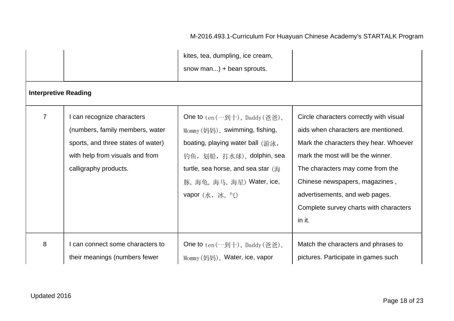|                             |                                                                                                                                                                 | kites, tea, dumpling, ice cream,<br>snow man) + bean sprouts.                                                                                                                                                                                    |                                                                                                                                                                                                                                                                                                                           |
|-----------------------------|-----------------------------------------------------------------------------------------------------------------------------------------------------------------|--------------------------------------------------------------------------------------------------------------------------------------------------------------------------------------------------------------------------------------------------|---------------------------------------------------------------------------------------------------------------------------------------------------------------------------------------------------------------------------------------------------------------------------------------------------------------------------|
| <b>Interpretive Reading</b> |                                                                                                                                                                 |                                                                                                                                                                                                                                                  |                                                                                                                                                                                                                                                                                                                           |
| $\overline{7}$              | I can recognize characters<br>(numbers, family members, water<br>sports, and three states of water)<br>with help from visuals and from<br>calligraphy products. | <b>One to</b> $ten(-$ 到十), Daddy (爸爸),<br>Mommy (妈妈), swimming, fishing,<br>boating, playing water ball (游泳,<br>钓鱼, 划船, 打水球), dolphin, sea<br>turtle, sea horse, and sea star (海<br>豚, 海龟, 海马, 海星) Water, ice,<br><b>vapor</b> $(\n#, \n#, \n#)$ | Circle characters correctly with visual<br>aids when characters are mentioned.<br>Mark the characters they hear. Whoever<br>mark the most will be the winner.<br>The characters may come from the<br>Chinese newspapers, magazines,<br>advertisements, and web pages.<br>Complete survey charts with characters<br>in it. |
| 8                           | can connect some characters to<br>their meanings (numbers fewer                                                                                                 | <b>One to</b> $ten$ (一到十), Daddy (爸爸),<br>Mommy (妈妈), Water, ice, vapor                                                                                                                                                                          | Match the characters and phrases to<br>pictures. Participate in games such                                                                                                                                                                                                                                                |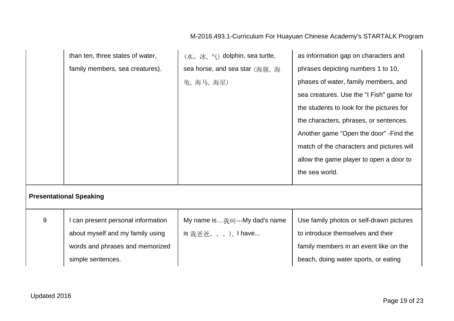|                                | than ten, three states of water,   | (水, 冰, 气) dolphin, sea turtle, | as information gap on characters and      |
|--------------------------------|------------------------------------|--------------------------------|-------------------------------------------|
|                                | family members, sea creatures).    | sea horse, and sea star (海豚, 海 | phrases depicting numbers 1 to 10,        |
|                                |                                    | 龟, 海马, 海星)                     | phases of water, family members, and      |
|                                |                                    |                                | sea creatures. Use the "I Fish" game for  |
|                                |                                    |                                | the students to look for the pictures for |
|                                |                                    |                                | the characters, phrases, or sentences.    |
|                                |                                    |                                | Another game "Open the door" - Find the   |
|                                |                                    |                                | match of the characters and pictures will |
|                                |                                    |                                | allow the game player to open a door to   |
|                                |                                    |                                | the sea world.                            |
| <b>Presentational Speaking</b> |                                    |                                |                                           |
| 9                              | I can present personal information | My name is我叫…My dad's name     | Use family photos or self-drawn pictures  |
|                                | about myself and my family using   | is 我爸爸。。。), I have             | to introduce themselves and their         |
|                                | words and phrases and memorized    |                                | family members in an event like on the    |
|                                | simple sentences.                  |                                | beach, doing water sports, or eating      |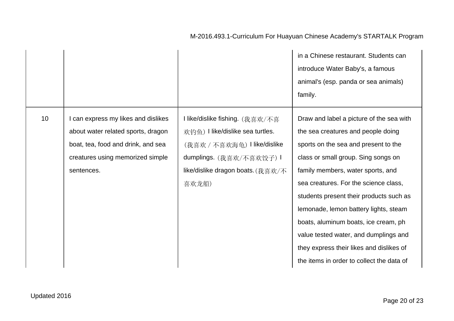|                 |                                                                                                                                                                 |                                                                                                                                                                               | in a Chinese restaurant. Students can<br>introduce Water Baby's, a famous<br>animal's (esp. panda or sea animals)<br>family.                                                                                                                                                                                                                                                                                                                                                                              |
|-----------------|-----------------------------------------------------------------------------------------------------------------------------------------------------------------|-------------------------------------------------------------------------------------------------------------------------------------------------------------------------------|-----------------------------------------------------------------------------------------------------------------------------------------------------------------------------------------------------------------------------------------------------------------------------------------------------------------------------------------------------------------------------------------------------------------------------------------------------------------------------------------------------------|
| 10 <sup>°</sup> | can express my likes and dislikes<br>about water related sports, dragon<br>boat, tea, food and drink, and sea<br>creatures using memorized simple<br>sentences. | I like/dislike fishing. (我喜欢/不喜<br>欢钓鱼) I like/dislike sea turtles.<br>(我喜欢 / 不喜欢海龟) I like/dislike<br>dumplings. (我喜欢/不喜欢饺子) I<br>like/dislike dragon boats. (我喜欢/不<br>喜欢龙船) | Draw and label a picture of the sea with<br>the sea creatures and people doing<br>sports on the sea and present to the<br>class or small group. Sing songs on<br>family members, water sports, and<br>sea creatures. For the science class,<br>students present their products such as<br>lemonade, lemon battery lights, steam<br>boats, aluminum boats, ice cream, ph<br>value tested water, and dumplings and<br>they express their likes and dislikes of<br>the items in order to collect the data of |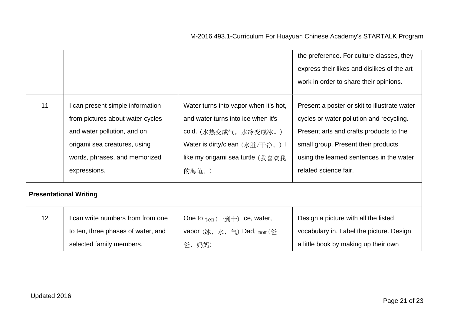|                               |                                    |                                                            | the preference. For culture classes, they<br>express their likes and dislikes of the art<br>work in order to share their opinions. |
|-------------------------------|------------------------------------|------------------------------------------------------------|------------------------------------------------------------------------------------------------------------------------------------|
| 11                            | can present simple information     | Water turns into vapor when it's hot,                      | Present a poster or skit to illustrate water                                                                                       |
|                               | from pictures about water cycles   | and water turns into ice when it's                         | cycles or water pollution and recycling.                                                                                           |
|                               | and water pollution, and on        | cold. (水热变成气,水冷变成冰。)                                       | Present arts and crafts products to the                                                                                            |
|                               | origami sea creatures, using       | Water is dirty/clean (水脏/干净。) I                            | small group. Present their products                                                                                                |
|                               | words, phrases, and memorized      | like my origami sea turtle (我喜欢我                           | using the learned sentences in the water                                                                                           |
|                               | expressions.                       | 的海龟。)                                                      | related science fair.                                                                                                              |
| <b>Presentational Writing</b> |                                    |                                                            |                                                                                                                                    |
| 12                            | can write numbers from from one    | One to $_{ten}$ ( $-\overline{\mathfrak{B}}$ ) lce, water, | Design a picture with all the listed                                                                                               |
|                               | to ten, three phases of water, and | vapor $(\forall k, \pi, \pi)$ Dad, $_{\text{mom}}$ (爸)     | vocabulary in. Label the picture. Design                                                                                           |
|                               | selected family members.           | 爸,妈妈)                                                      | a little book by making up their own                                                                                               |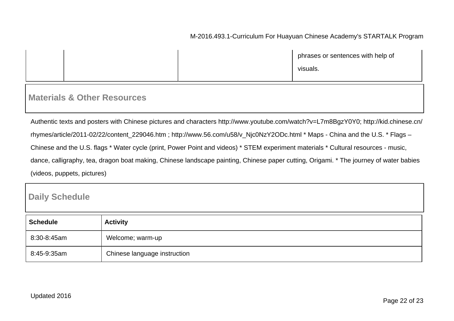|  | phrases or sentences with help of |
|--|-----------------------------------|
|  | visuals.                          |
|  |                                   |

#### **Materials & Other Resources**

Authentic texts and posters with Chinese pictures and characters http://www.youtube.com/watch?v=L7m8BgzY0Y0; http://kid.chinese.cn/ rhymes/article/2011-02/22/content\_229046.htm ; http://www.56.com/u58/v\_Njc0NzY2ODc.html \* Maps - China and the U.S. \* Flags – Chinese and the U.S. flags \* Water cycle (print, Power Point and videos) \* STEM experiment materials \* Cultural resources - music, dance, calligraphy, tea, dragon boat making, Chinese landscape painting, Chinese paper cutting, Origami. \* The journey of water babies (videos, puppets, pictures)

## **Daily Schedule**

| <b>Schedule</b> | <b>Activity</b>              |
|-----------------|------------------------------|
| 8:30-8:45am     | Welcome; warm-up             |
| 8:45-9:35am     | Chinese language instruction |